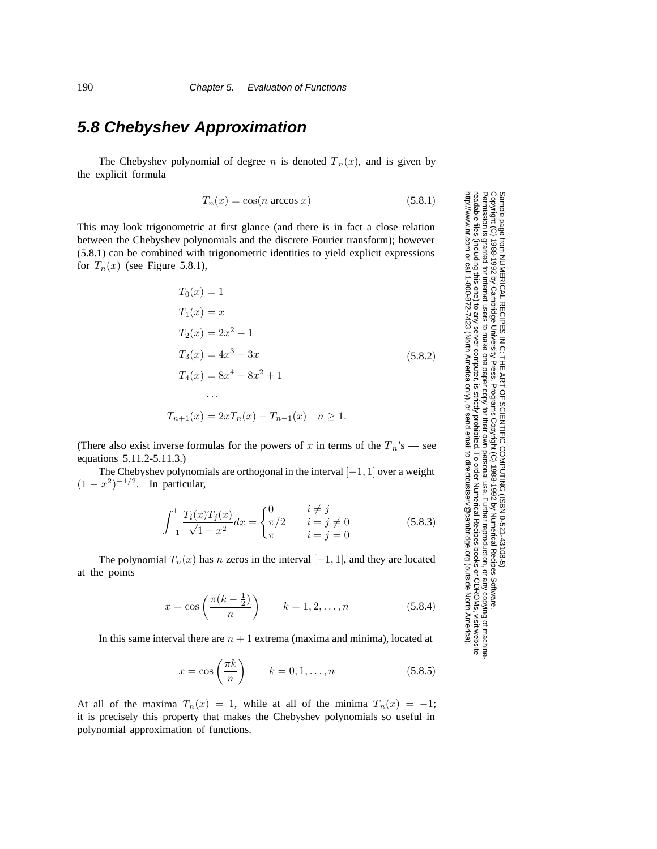## **5.8 Chebyshev Approximation**

The Chebyshev polynomial of degree *n* is denoted  $T_n(x)$ , and is given by the explicit formula

$$
T_n(x) = \cos(n \arccos x) \tag{5.8.1}
$$

This may look trigonometric at first glance (and there is in fact a close relation between the Chebyshev polynomials and the discrete Fourier transform); however (5.8.1) can be combined with trigonometric identities to yield explicit expressions for  $T_n(x)$  (see Figure 5.8.1),

$$
T_0(x) = 1
$$
  
\n
$$
T_1(x) = x
$$
  
\n
$$
T_2(x) = 2x^2 - 1
$$
  
\n
$$
T_3(x) = 4x^3 - 3x
$$
  
\n
$$
T_4(x) = 8x^4 - 8x^2 + 1
$$
  
\n...  
\n
$$
T_{n+1}(x) = 2xT_n(x) - T_{n-1}(x) \quad n \ge 1.
$$
  
\n(5.8.2)

(There also exist inverse formulas for the powers of x in terms of the  $T_n$ 's — see equations 5.11.2-5.11.3.)

The Chebyshev polynomials are orthogonal in the interval  $[-1, 1]$  over a weight  $(1 - x^2)^{-1/2}$ . In particular,

$$
\int_{-1}^{1} \frac{T_i(x)T_j(x)}{\sqrt{1-x^2}} dx = \begin{cases} 0 & i \neq j \\ \pi/2 & i = j \neq 0 \\ \pi & i = j = 0 \end{cases}
$$
 (5.8.3)

The polynomial  $T_n(x)$  has n zeros in the interval  $[-1, 1]$ , and they are located at the points

$$
x = \cos\left(\frac{\pi(k - \frac{1}{2})}{n}\right) \qquad k = 1, 2, \dots, n \tag{5.8.4}
$$

In this same interval there are  $n + 1$  extrema (maxima and minima), located at

$$
x = \cos\left(\frac{\pi k}{n}\right) \qquad k = 0, 1, \dots, n \tag{5.8.5}
$$

At all of the maxima  $T_n(x) = 1$ , while at all of the minima  $T_n(x) = -1$ ; it is precisely this property that makes the Chebyshev polynomials so useful in polynomial approximation of functions.

Permission is granted for internet users to make one paper copy for their own personal use. Further reproduction, or any copyin Copyright (C) 1988-1992 by Cambridge University Press.Programs Copyright (C) 1988-1992 by Numerical Recipes Software. g of machinereadable files (including this one) to any servercomputer, is strictly prohibited. To order Numerical Recipes booksor CDROMs, visit website http://www.nr.com or call 1-800-872-7423 (North America only),or send email to directcustserv@cambridge.org (outside North America).

Sample page from NUMERICAL RECIPES IN C: THE ART OF SCIENTIFIC COMPUTING (ISBN 0-521-43108-5)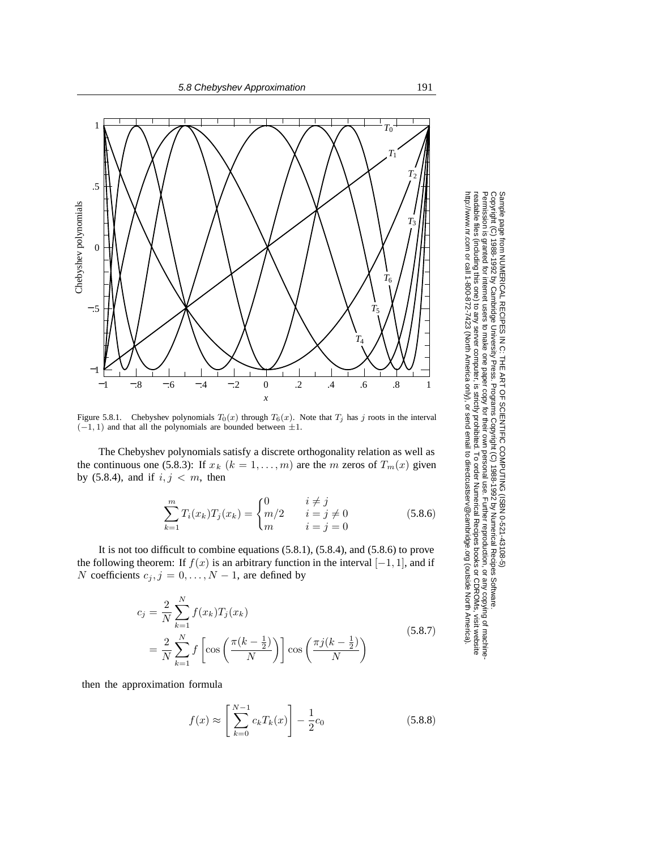

Figure 5.8.1. Chebyshev polynomials  $T_0(x)$  through  $T_6(x)$ . Note that  $T_j$  has *j* roots in the interval  $(-1, 1)$  and that all the polynomials are bounded between  $\pm 1$ .

The Chebyshev polynomials satisfy a discrete orthogonality relation as well as the continuous one (5.8.3): If  $x_k$  ( $k = 1, \ldots, m$ ) are the m zeros of  $T_m(x)$  given by (5.8.4), and if  $i, j < m$ , then

$$
\sum_{k=1}^{m} T_i(x_k) T_j(x_k) = \begin{cases} 0 & i \neq j \\ m/2 & i = j \neq 0 \\ m & i = j = 0 \end{cases}
$$
 (5.8.6)

It is not too difficult to combine equations (5.8.1), (5.8.4), and (5.8.6) to prove the following theorem: If  $f(x)$  is an arbitrary function in the interval  $[-1, 1]$ , and if N coefficients  $c_j$ ,  $j = 0, \ldots, N - 1$ , are defined by

$$
c_j = \frac{2}{N} \sum_{k=1}^{N} f(x_k) T_j(x_k)
$$
  
= 
$$
\frac{2}{N} \sum_{k=1}^{N} f\left[\cos\left(\frac{\pi (k - \frac{1}{2})}{N}\right)\right] \cos\left(\frac{\pi j (k - \frac{1}{2})}{N}\right)
$$
 (5.8.7)

then the approximation formula

$$
f(x) \approx \left[\sum_{k=0}^{N-1} c_k T_k(x)\right] - \frac{1}{2}c_0
$$
 (5.8.8)

Permission is granted for internet users to make one paper copy for their own personal use. Further reproduction, or any copyin Copyright (C) 1988-1992 by Cambridge University Press.Programs Copyright (C) 1988-1992 by Numerical Recipes Software. Sample page from NUMERICAL RECIPES IN C: THE ART OF SCIENTIFIC COMPUTING (ISBN 0-521-43108-5) g of machinereadable files (including this one) to any servercomputer, is strictly prohibited. To order Numerical Recipes booksor CDROMs, visit website http://www.nr.com or call 1-800-872-7423 (North America only),or send email to directcustserv@cambridge.org (outside North America).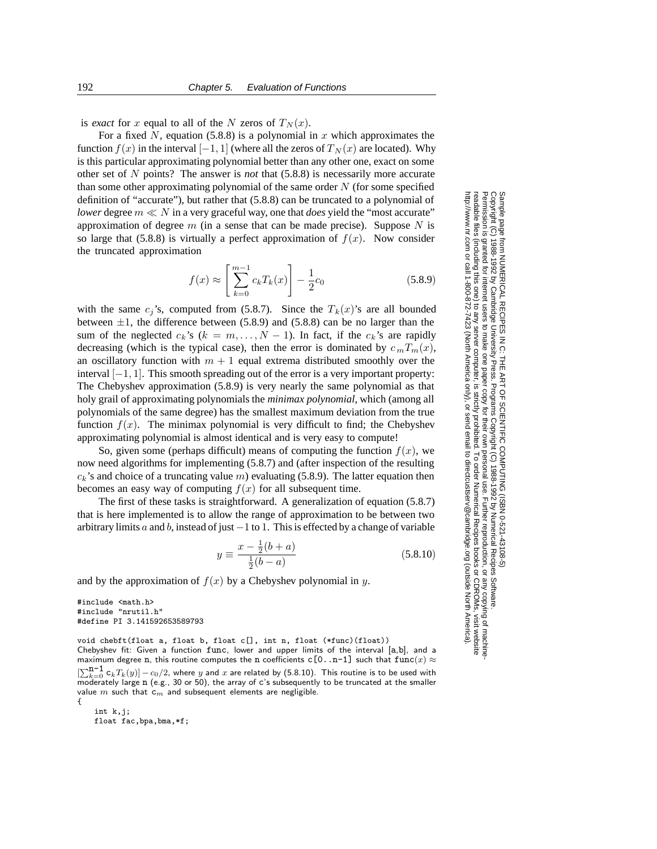is *exact* for x equal to all of the N zeros of  $T_N(x)$ .

For a fixed N, equation (5.8.8) is a polynomial in x which approximates the function  $f(x)$  in the interval [−1, 1] (where all the zeros of  $T_N(x)$  are located). Why is this particular approximating polynomial better than any other one, exact on some other set of N points? The answer is *not* that (5.8.8) is necessarily more accurate than some other approximating polynomial of the same order  $N$  (for some specified definition of "accurate"), but rather that (5.8.8) can be truncated to a polynomial of *lower* degree  $m \ll N$  in a very graceful way, one that *does* yield the "most accurate" approximation of degree m (in a sense that can be made precise). Suppose  $N$  is so large that (5.8.8) is virtually a perfect approximation of  $f(x)$ . Now consider the truncated approximation

$$
f(x) \approx \left[\sum_{k=0}^{m-1} c_k T_k(x)\right] - \frac{1}{2}c_0
$$
 (5.8.9)

with the same  $c_j$ 's, computed from (5.8.7). Since the  $T_k(x)$ 's are all bounded between  $\pm 1$ , the difference between (5.8.9) and (5.8.8) can be no larger than the sum of the neglected  $c_k$ 's ( $k = m, \ldots, N - 1$ ). In fact, if the  $c_k$ 's are rapidly decreasing (which is the typical case), then the error is dominated by  $c_m T_m(x)$ , an oscillatory function with  $m + 1$  equal extrema distributed smoothly over the interval  $[-1, 1]$ . This smooth spreading out of the error is a very important property: The Chebyshev approximation (5.8.9) is very nearly the same polynomial as that holy grail of approximating polynomials the *minimax polynomial*, which (among all polynomials of the same degree) has the smallest maximum deviation from the true function  $f(x)$ . The minimax polynomial is very difficult to find; the Chebyshev approximating polynomial is almost identical and is very easy to compute!

So, given some (perhaps difficult) means of computing the function  $f(x)$ , we now need algorithms for implementing (5.8.7) and (after inspection of the resulting  $c_k$ 's and choice of a truncating value  $m$ ) evaluating (5.8.9). The latter equation then becomes an easy way of computing  $f(x)$  for all subsequent time.

The first of these tasks is straightforward. A generalization of equation (5.8.7) that is here implemented is to allow the range of approximation to be between two arbitrary limits a and b, instead of just  $-1$  to 1. This is effected by a change of variable

$$
y \equiv \frac{x - \frac{1}{2}(b + a)}{\frac{1}{2}(b - a)}
$$
(5.8.10)

and by the approximation of  $f(x)$  by a Chebyshev polynomial in y.

```
#include <math.h>
#include "nrutil.h"
#define PI 3.141592653589793
```
void chebft(float a, float b, float c[], int n, float (\*func)(float)) Chebyshev fit: Given a function func, lower and upper limits of the interval [a,b], and a maximum degree n, this routine computes the n coefficients  $c[0..n-1]$  such that  $func(x) \approx$  $[\sum_{k=0}^{n-1} c_k T_k(y)] - c_0/2$ , where *y* and *x* are related by (5.8.10). This routine is to be used with moderately large n (e.g., 30 or 50), the array of c's subsequently to be truncated at the smaller value *<sup>m</sup>* such that c*<sup>m</sup>* and subsequent elements are negligible. {

int k, i: float fac,bpa,bma,\*f;

Permission is granted for internet users to make one paper copy for their own personal use. Further reproduction, or any copyin Copyright (C) 1988-1992 by Cambridge University Press.Programs Copyright (C) 1988-1992 by Numerical Recipes Software. Sample page from NUMERICAL RECIPES IN C: THE ART OF SCIENTIFIC COMPUTING (ISBN 0-521-43108-5) g of machinereadable files (including this one) to any servercomputer, is strictly prohibited. To order Numerical Recipes booksor CDROMs, visit website http://www.nr.com or call 1-800-872-7423 (North America only),or send email to directcustserv@cambridge.org (outside North America).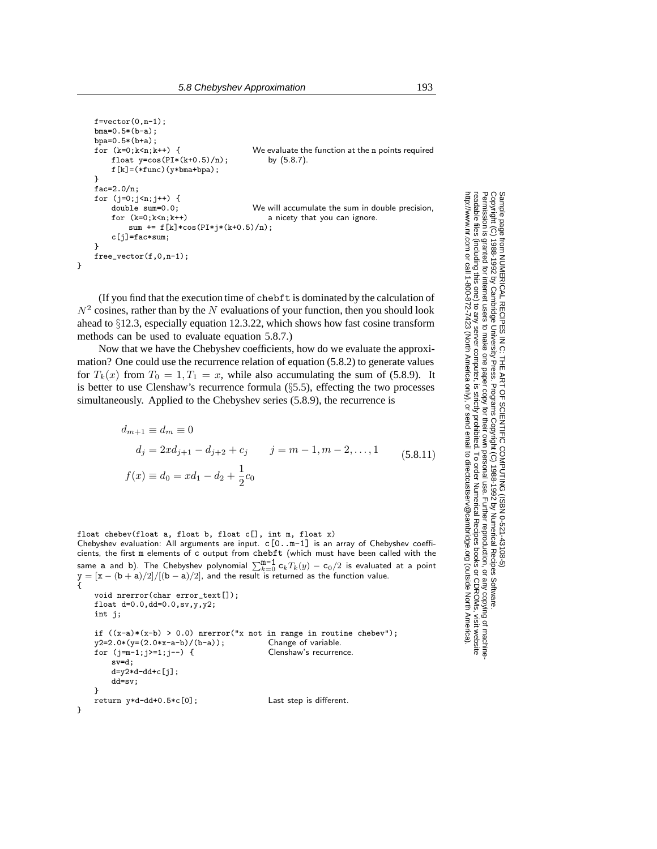```
f=vector(0,n-1);bma=0.5*(b-a);
    bpa=0.5*(b+a);<br>for (k=0; k \le n; k++) {
                                                 We evaluate the function at the n points required
         float y = cos(PI * (k+0.5)/n); by (5.8.7).
         f[k]=(*func)(y*bma+bpa);}
    fac=2.0/n;
    for (j=0; j \le n; j++) {
         double sum=0.0; We will accumulate the sum in double precision,<br>for (k=0; k \le n; k++) a nicety that you can ignore.
                                                     a nicety that you can ignore.
              sum += f[k]*cos(PI*j*(k+0.5)/n);c[j]=fac*sum;
    }
    free_vector(f,0,n-1);
}
```
(If you find that the execution time of chebft is dominated by the calculation of  $N^2$  cosines, rather than by the N evaluations of your function, then you should look ahead to §12.3, especially equation 12.3.22, which shows how fast cosine transform methods can be used to evaluate equation 5.8.7.)

Now that we have the Chebyshev coefficients, how do we evaluate the approximation? One could use the recurrence relation of equation (5.8.2) to generate values for  $T_k(x)$  from  $T_0 = 1, T_1 = x$ , while also accumulating the sum of (5.8.9). It is better to use Clenshaw's recurrence formula (§5.5), effecting the two processes simultaneously. Applied to the Chebyshev series (5.8.9), the recurrence is

> $d_{m+1} \equiv d_m \equiv 0$  $d_j = 2xd_{j+1} - d_{j+2} + c_j$   $j = m-1, m-2, \ldots, 1$  $f(x) \equiv d_0 = xd_1 - d_2 + \frac{1}{2}$  $rac{1}{2}c_0$  $(5.8.11)$

```
float chebev(float a, float b, float c[], int m, float x)
Chebyshev evaluation: All arguments are input. c[0..m-1] is an array of Chebyshev coeffi-
cients, the first m elements of c output from chebft (which must have been called with the
same a and b). The Chebyshev polynomial \sum_{k=0}^{m-1} c_k T_k(y) - c_0/2 is evaluated at a point
y = [x - (b + a)/2]/[(b - a)/2], and the result is returned as the function value.
{
    void nrerror(char error_text[]);
    float d=0.0,dd=0.0,sv,y,y2;
```

```
int j;
     if ((x-a)*(x-b) > 0.0) nrerror("x not in range in routine chebev");<br>y2=2.0*(y=(2.0*x-a-b)/(b-a)); Change of variable.
    y2=2.0*(y=(2.0*x-a-b)/(b-a));<br>
for (i=m-1;i>=1;i--) {<br>
Clenshaw's recurrence.
    for (j=m-1;j>=1;j-- {
          sv=d;
          d=y2*d-dd+c[j];
          dd=sv;
    }
     return y*d-dd+0.5*c[0]; Last step is different.
}
```
Permission is granted for internet users to make one paper copy for their own personal use. Further reproduction, or any copyin

computer, is strictly prohibited. To order Numerical Recipes books

or send email to directcustserv@cambridge.org (outside North America).

Sample page from NUMERICAL RECIPES IN C: THE ART OF SCIENTIFIC COMPUTING (ISBN 0-521-43108-5)

Programs Copyright (C) 1988-1992 by Numerical Recipes Software.

g of machine-

or CDROMs, visit website

Copyright (C) 1988-1992 by Cambridge University Press.

readable files (including this one) to any server

http://www.nr.com or call 1-800-872-7423 (North America only),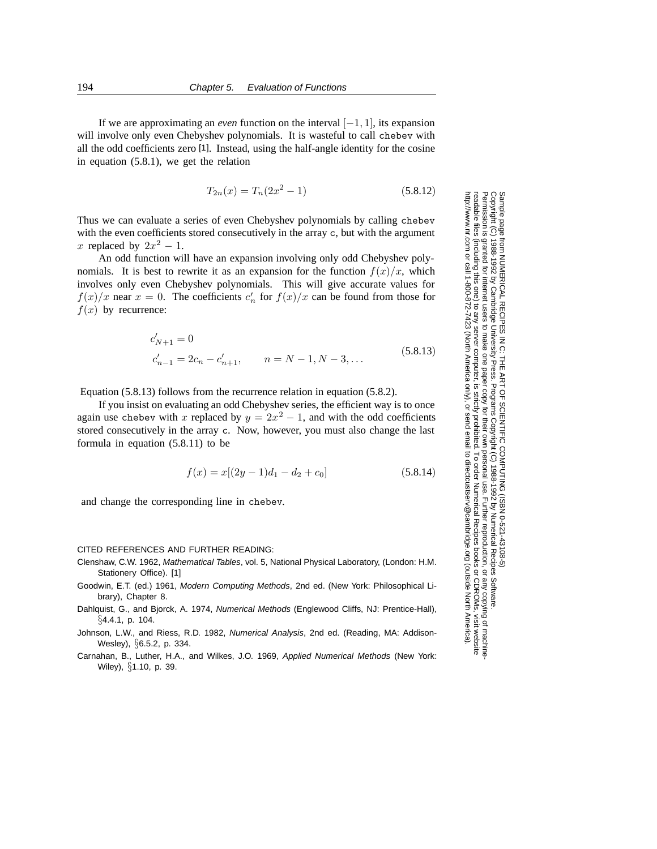If we are approximating an *even* function on the interval  $[-1, 1]$ , its expansion will involve only even Chebyshev polynomials. It is wasteful to call chebev with all the odd coefficients zero [1]. Instead, using the half-angle identity for the cosine in equation (5.8.1), we get the relation

$$
T_{2n}(x) = T_n(2x^2 - 1)
$$
\n(5.8.12)

Thus we can evaluate a series of even Chebyshev polynomials by calling chebev with the even coefficients stored consecutively in the array c, but with the argument x replaced by  $2x^2 - 1$ .

An odd function will have an expansion involving only odd Chebyshev polynomials. It is best to rewrite it as an expansion for the function  $f(x)/x$ , which involves only even Chebyshev polynomials. This will give accurate values for  $f(x)/x$  near  $x = 0$ . The coefficients  $c'_n$  for  $f(x)/x$  can be found from those for  $f(x)$  by recurrence:

$$
c'_{N+1} = 0
$$
  
\n
$$
c'_{n-1} = 2c_n - c'_{n+1}, \qquad n = N - 1, N - 3, ...
$$
\n(5.8.13)

Equation (5.8.13) follows from the recurrence relation in equation (5.8.2).

If you insist on evaluating an odd Chebyshev series, the efficient way is to once again use chebev with x replaced by  $y = 2x^2 - 1$ , and with the odd coefficients stored consecutively in the array c. Now, however, you must also change the last formula in equation (5.8.11) to be

$$
f(x) = x[(2y - 1)d_1 - d_2 + c_0]
$$
\n(5.8.14)

and change the corresponding line in chebev.

## CITED REFERENCES AND FURTHER READING:

- Clenshaw, C.W. 1962, Mathematical Tables, vol. 5, National Physical Laboratory, (London: H.M. Stationery Office). [1]
- Goodwin, E.T. (ed.) 1961, Modern Computing Methods, 2nd ed. (New York: Philosophical Library), Chapter 8.
- Dahlquist, G., and Bjorck, A. 1974, Numerical Methods (Englewood Cliffs, NJ: Prentice-Hall),  $\S 4.4.1, p. 104.$
- Johnson, L.W., and Riess, R.D. 1982, Numerical Analysis, 2nd ed. (Reading, MA: Addison-Wesley), §6.5.2, p. 334.
- Carnahan, B., Luther, H.A., and Wilkes, J.O. 1969, Applied Numerical Methods (New York: Wiley), §1.10, p. 39.

Sample page t<br>Copyright (C) Copyright (C) 1988-1992 by Cambridge University Press.Sample page from NUMERICAL RECIPES IN C: THE ART OF SCIENTIFIC COMPUTING (ISBN 0-521-43108-5) http://www.nr.com or call 1-800-872-7423 (North America only),readable files (including this one) to any serverPermission is granted for internet users to make one paper copy for their own personal use. Further reproduction, or any copyin from NUMERICAL RECIPES IN C. THE ART OF SCIENTIFIC COMPUTING (ISBN 0-521-43108-5)<br>1988-1992 by Cambridge University Press. Programs Copyright (C) 1989-1992 by Numnerical Recipes Software computer, is strictly prohibited. To order Numerical Recipes booksPrograms Copyright (C) 1988-1992 by Numerical Recipes Software. or send email to directcustserv@cambridge.org (outside North America). or CDROMs, visit website g of machine-